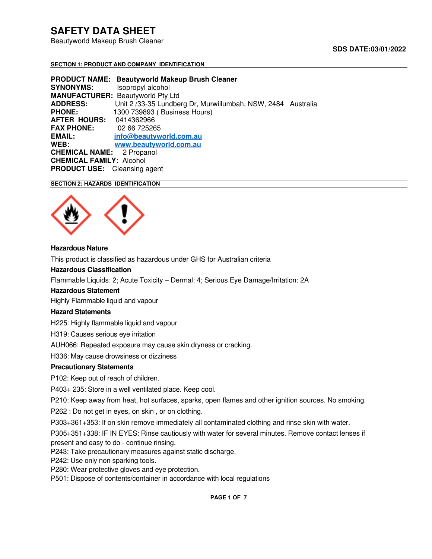Beautyworld Makeup Brush Cleaner

# **SDS DATE:03/01/2022**

#### **SECTION 1: PRODUCT AND COMPANY IDENTIFICATION**

**PRODUCT NAME: Beautyworld Makeup Brush Cleaner SYNONYMS:** Isopropyl alcohol **MANUFACTURER:** Beautyworld Pty Ltd **ADDRESS:** Unit 2 /33-35 Lundberg Dr, Murwillumbah, NSW, 2484Australia **PHONE:** 1300 739893 ( Business Hours) **AFTER HOURS:** 0414362966 **FAX PHONE: EMAIL: [info@beautyworld.com.au](mailto:info@beautyworld.com.au) WEB: [www.beautyworld.com.au](http://www.beautyworld.com.au/) CHEMICAL NAME:** 2 Propanol **CHEMICAL FAMILY:** Alcohol **PRODUCT USE:** Cleansing agent

# **SECTION 2: HAZARDS IDENTIFICATION**



#### **Hazardous Nature**

This product is classified as hazardous under GHS for Australian criteria

#### **Hazardous Classification**

Flammable Liquids: 2; Acute Toxicity – Dermal: 4; Serious Eye Damage/Irritation: 2A

#### **Hazardous Statement**

Highly Flammable liquid and vapour

### **Hazard Statements**

H225: Highly flammable liquid and vapour

H319: Causes serious eye irritation

AUH066: Repeated exposure may cause skin dryness or cracking.

H336: May cause drowsiness or dizziness

#### **Precautionary Statements**

P102: Keep out of reach of children.

P403+ 235: Store in a well ventilated place. Keep cool.

P210: Keep away from heat, hot surfaces, sparks, open flames and other ignition sources. No smoking.

P262 : Do not get in eyes, on skin , or on clothing.

P303+361+353: If on skin remove immediately all contaminated clothing and rinse skin with water.

P305+351+338: IF IN EYES: Rinse cautiously with water for several minutes. Remove contact lenses if present and easy to do - continue rinsing.

P243: Take precautionary measures against static discharge.

P242: Use only non sparking tools.

P280: Wear protective gloves and eye protection.

P501: Dispose of contents/container in accordance with local regulations

**PAGE 1 OF 7**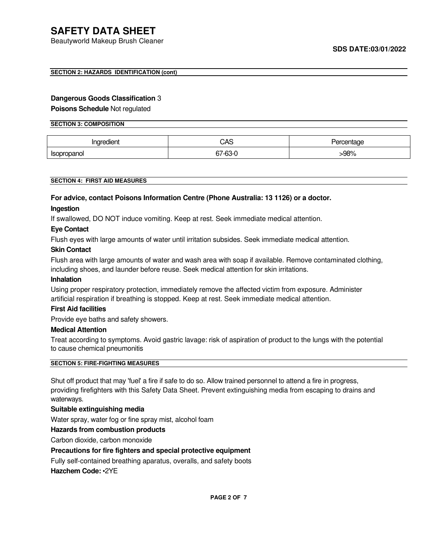Beautyworld Makeup Brush Cleaner

#### **SECTION 2: HAZARDS IDENTIFICATION (cont)**

#### **Dangerous Goods Classification** 3

**Poisons Schedule** Not regulated

#### **SECTION 3: COMPOSITION**

| 'ngredient         | CAS     | entage. |  |
|--------------------|---------|---------|--|
| <b>Isopropanol</b> | 67-63-0 | -98%    |  |

#### **SECTION 4: FIRST AID MEASURES**

# **For advice, contact Poisons Information Centre (Phone Australia: 13 1126) or a doctor. Ingestion**

If swallowed, DO NOT induce vomiting. Keep at rest. Seek immediate medical attention.

#### **Eye Contact**

Flush eyes with large amounts of water until irritation subsides. Seek immediate medical attention.

#### **Skin Contact**

Flush area with large amounts of water and wash area with soap if available. Remove contaminated clothing, including shoes, and launder before reuse. Seek medical attention for skin irritations.

#### **Inhalation**

Using proper respiratory protection, immediately remove the affected victim from exposure. Administer artificial respiration if breathing is stopped. Keep at rest. Seek immediate medical attention.

# **First Aid facilities**

Provide eye baths and safety showers.

#### **Medical Attention**

Treat according to symptoms. Avoid gastric lavage: risk of aspiration of product to the lungs with the potential to cause chemical pneumonitis

#### **SECTION 5: FIRE-FIGHTING MEASURES**

Shut off product that may 'fuel' a fire if safe to do so. Allow trained personnel to attend a fire in progress, providing firefighters with this Safety Data Sheet. Prevent extinguishing media from escaping to drains and waterways.

#### **Suitable extinguishing media**

Water spray, water fog or fine spray mist, alcohol foam

**Hazards from combustion products** 

Carbon dioxide, carbon monoxide

## **Precautions for fire fighters and special protective equipment**

Fully self-contained breathing aparatus, overalls, and safety boots

**Hazchem Code:** •2YE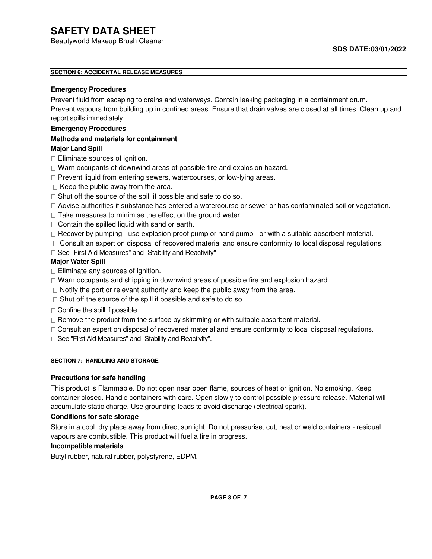Beautyworld Makeup Brush Cleaner

# **SECTION 6: ACCIDENTAL RELEASE MEASURES**

# **Emergency Procedures**

Prevent fluid from escaping to drains and waterways. Contain leaking packaging in a containment drum.

Prevent vapours from building up in confined areas. Ensure that drain valves are closed at all times. Clean up and report spills immediately.

# **Emergency Procedures**

# **Methods and materials for containment**

# **Major Land Spill**

- $\Box$  Eliminate sources of ignition.
- □ Warn occupants of downwind areas of possible fire and explosion hazard.
- $\Box$  Prevent liquid from entering sewers, watercourses, or low-lying areas.
- $\Box$  Keep the public away from the area.
- $\Box$  Shut off the source of the spill if possible and safe to do so.
- Advise authorities if substance has entered a watercourse or sewer or has contaminated soil or vegetation.
- $\Box$  Take measures to minimise the effect on the ground water.
- $\Box$  Contain the spilled liquid with sand or earth.
- $\Box$  Recover by pumping use explosion proof pump or hand pump or with a suitable absorbent material.
- Consult an expert on disposal of recovered material and ensure conformity to local disposal regulations.
- □ See "First Aid Measures" and "Stability and Reactivity"

# **Major Water Spill**

- $\Box$  Eliminate any sources of ignition.
- $\Box$  Warn occupants and shipping in downwind areas of possible fire and explosion hazard.
- $\Box$  Notify the port or relevant authority and keep the public away from the area.
- $\Box$  Shut off the source of the spill if possible and safe to do so.
- $\Box$  Confine the spill if possible.
- $\Box$  Remove the product from the surface by skimming or with suitable absorbent material.
- Consult an expert on disposal of recovered material and ensure conformity to local disposal regulations.
- □ See "First Aid Measures" and "Stability and Reactivity".

# **SECTION 7: HANDLING AND STORAGE**

# **Precautions for safe handling**

This product is Flammable. Do not open near open flame, sources of heat or ignition. No smoking. Keep container closed. Handle containers with care. Open slowly to control possible pressure release. Material will accumulate static charge. Use grounding leads to avoid discharge (electrical spark).

### **Conditions for safe storage**

Store in a cool, dry place away from direct sunlight. Do not pressurise, cut, heat or weld containers - residual vapours are combustible. This product will fuel a fire in progress.

# **Incompatible materials**

Butyl rubber, natural rubber, polystyrene, EDPM.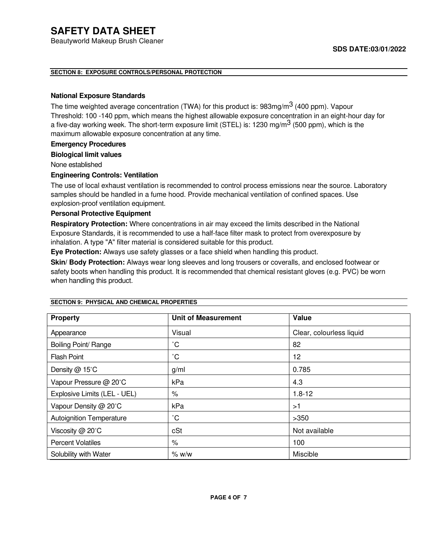Beautyworld Makeup Brush Cleaner

# **SECTION 8: EXPOSURE CONTROLS/PERSONAL PROTECTION**

# **National Exposure Standards**

The time weighted average concentration (TWA) for this product is:  $983mg/m<sup>3</sup>$  (400 ppm). Vapour Threshold: 100 -140 ppm, which means the highest allowable exposure concentration in an eight-hour day for a five-day working week. The short-term exposure limit (STEL) is: 1230 mg/m<sup>3</sup> (500 ppm), which is the maximum allowable exposure concentration at any time.

# **Emergency Procedures**

### **Biological limit values**

None established

# **Engineering Controls: Ventilation**

The use of local exhaust ventilation is recommended to control process emissions near the source. Laboratory samples should be handled in a fume hood. Provide mechanical ventilation of confined spaces. Use explosion-proof ventilation equipment.

# **Personal Protective Equipment**

**Respiratory Protection:** Where concentrations in air may exceed the limits described in the National Exposure Standards, it is recommended to use a half-face filter mask to protect from overexposure by inhalation. A type "A" filter material is considered suitable for this product.

**Eye Protection:** Always use safety glasses or a face shield when handling this product.

**Skin/ Body Protection:** Always wear long sleeves and long trousers or coveralls, and enclosed footwear or safety boots when handling this product. It is recommended that chemical resistant gloves (e.g. PVC) be worn when handling this product.

| <b>Property</b>                 | <b>Unit of Measurement</b> | Value                    |  |
|---------------------------------|----------------------------|--------------------------|--|
| Appearance                      | Visual                     | Clear, colourless liquid |  |
| Boiling Point/ Range            | $^{\circ}C$                | 82                       |  |
| <b>Flash Point</b>              | $\rm ^{\circ}C$            | 12                       |  |
| Density @ 15°C                  | g/ml                       | 0.785                    |  |
| Vapour Pressure @ 20°C          | kPa                        | 4.3                      |  |
| Explosive Limits (LEL - UEL)    | $\%$                       | $1.8 - 12$               |  |
| Vapour Density @ 20°C           | kPa                        | >1                       |  |
| <b>Autoignition Temperature</b> | $^{\circ}$ C               | >350                     |  |
| Viscosity @ 20°C                | cSt                        | Not available            |  |
| <b>Percent Volatiles</b>        | $\%$                       | 100                      |  |
| Solubility with Water           | % w/w                      | Miscible                 |  |

**SECTION 9: PHYSICAL AND CHEMICAL PROPERTIES**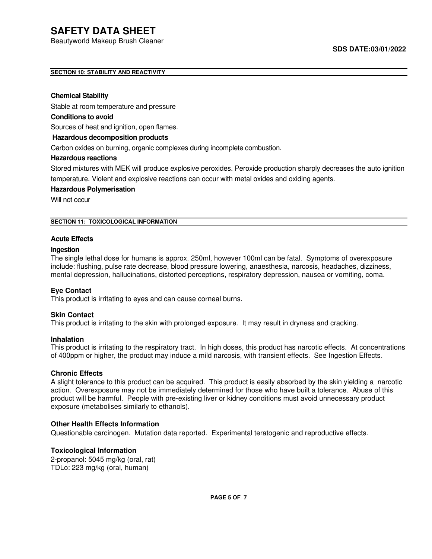Beautyworld Makeup Brush Cleaner

# **SECTION 10: STABILITY AND REACTIVITY**

#### **Chemical Stability**

Stable at room temperature and pressure

### **Conditions to avoid**

Sources of heat and ignition, open flames.

#### **Hazardous decomposition products**

Carbon oxides on burning, organic complexes during incomplete combustion.

#### **Hazardous reactions**

Stored mixtures with MEK will produce explosive peroxides. Peroxide production sharply decreases the auto ignition temperature. Violent and explosive reactions can occur with metal oxides and oxiding agents.

#### **Hazardous Polymerisation**

Will not occur

#### **SECTION 11: TOXICOLOGICAL INFORMATION**

#### **Acute Effects**

#### **Ingestion**

The single lethal dose for humans is approx. 250ml, however 100ml can be fatal. Symptoms of overexposure include: flushing, pulse rate decrease, blood pressure lowering, anaesthesia, narcosis, headaches, dizziness, mental depression, hallucinations, distorted perceptions, respiratory depression, nausea or vomiting, coma.

### **Eye Contact**

This product is irritating to eyes and can cause corneal burns.

#### **Skin Contact**

This product is irritating to the skin with prolonged exposure. It may result in dryness and cracking.

#### **Inhalation**

This product is irritating to the respiratory tract. In high doses, this product has narcotic effects. At concentrations of 400ppm or higher, the product may induce a mild narcosis, with transient effects. See Ingestion Effects.

### **Chronic Effects**

A slight tolerance to this product can be acquired. This product is easily absorbed by the skin yielding a narcotic action. Overexposure may not be immediately determined for those who have built a tolerance. Abuse of this product will be harmful. People with pre-existing liver or kidney conditions must avoid unnecessary product exposure (metabolises similarly to ethanols).

### **Other Health Effects Information**

Questionable carcinogen. Mutation data reported. Experimental teratogenic and reproductive effects.

## **Toxicological Information**

2-propanol: 5045 mg/kg (oral, rat) TDLo: 223 mg/kg (oral, human)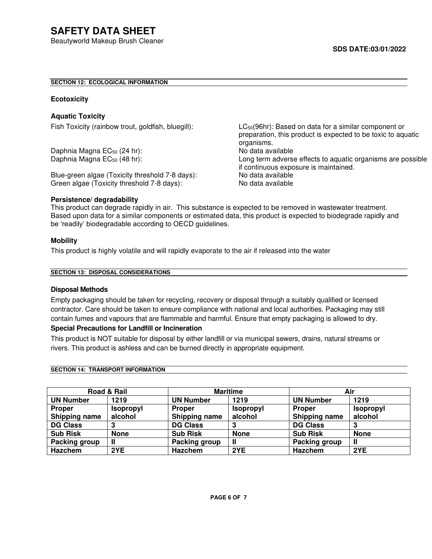# **SECTION 12: ECOLOGICAL INFORMATION**

#### **Ecotoxicity**

# **Aquatic Toxicity**

Daphnia Magna EC<sub>50</sub> (24 hr):<br>
Daphnia Magna EC<sub>50</sub> (48 hr): No data available Caphnia Magna EC<sub>50</sub> (48 hr):

Blue-green algae (Toxicity threshold 7-8 days): No data available Green algae (Toxicity threshold 7-8 days): No data available

Fish Toxicity (rainbow trout, goldfish, bluegill): LC<sub>50</sub>(96hr): Based on data for a similar component or preparation, this product is expected to be toxic to aquatic organisms. Long term adverse effects to aquatic organisms are possible if continuous exposure is maintained.

#### **Persistence/ degradability**

This product can degrade rapidly in air. This substance is expected to be removed in wastewater treatment. Based upon data for a similar components or estimated data, this product is expected to biodegrade rapidly and be 'readily' biodegradable according to OECD guidelines.

#### **Mobility**

This product is highly volatile and will rapidly evaporate to the air if released into the water

#### **SECTION 13: DISPOSAL CONSIDERATIONS**

### **Disposal Methods**

Empty packaging should be taken for recycling, recovery or disposal through a suitably qualified or licensed contractor. Care should be taken to ensure compliance with national and local authorities. Packaging may still contain fumes and vapours that are flammable and harmful. Ensure that empty packaging is allowed to dry.

# **Special Precautions for Landfill or Incineration**

This product is NOT suitable for disposal by either landfill or via municipal sewers, drains, natural streams or rivers. This product is ashless and can be burned directly in appropriate equipment.

| Road & Rail      |                  | <b>Maritime</b>  |                  | Air              |                  |
|------------------|------------------|------------------|------------------|------------------|------------------|
| <b>UN Number</b> | 1219             | <b>UN Number</b> | 1219             | <b>UN Number</b> | 1219             |
| <b>Proper</b>    | <b>Isopropyl</b> | <b>Proper</b>    | <b>Isopropyl</b> | <b>Proper</b>    | <b>Isopropyl</b> |
| Shipping name    | alcohol          | Shipping name    | alcohol          | Shipping name    | alcohol          |
| <b>DG Class</b>  |                  | <b>DG Class</b>  | 3                | <b>DG Class</b>  |                  |
| <b>Sub Risk</b>  | <b>None</b>      | <b>Sub Risk</b>  | <b>None</b>      | <b>Sub Risk</b>  | <b>None</b>      |
| Packing group    |                  | Packing group    | Ш                | Packing group    | Ш                |
| Hazchem          | 2YE              | <b>Hazchem</b>   | 2YE              | Hazchem          | 2YE              |